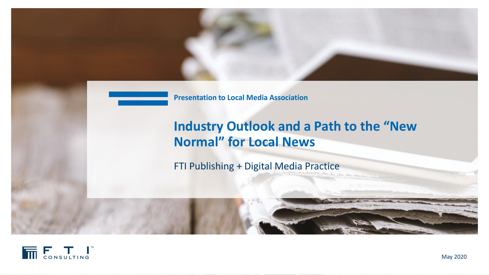

**Presentation to Local Media Association**

# **Industry Outlook and a Path to the "New Normal" for Local News**

FTI Publishing + Digital Media Practice

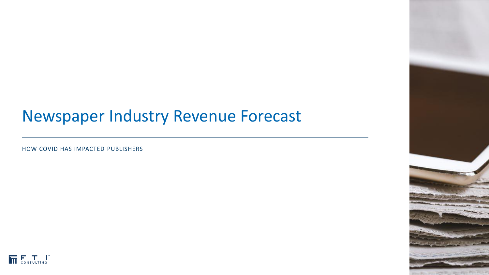# Newspaper Industry Revenue Forecast

HOW COVID HAS IMPACTED PUBLISHERS



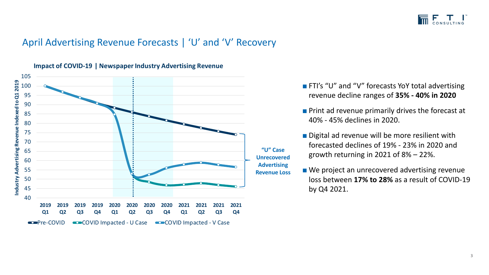

### April Advertising Revenue Forecasts | 'U' and 'V' Recovery



**Impact of COVID-19 | Newspaper Industry Advertising Revenue**

- FTI's "U" and "V" forecasts YoY total advertising revenue decline ranges of **35% - 40% in 2020**
- Print ad revenue primarily drives the forecast at 40% - 45% declines in 2020.
- Digital ad revenue will be more resilient with forecasted declines of 19% - 23% in 2020 and growth returning in 2021 of 8% – 22%.
- We project an unrecovered advertising revenue loss between **17% to 28%** as a result of COVID-19 by Q4 2021.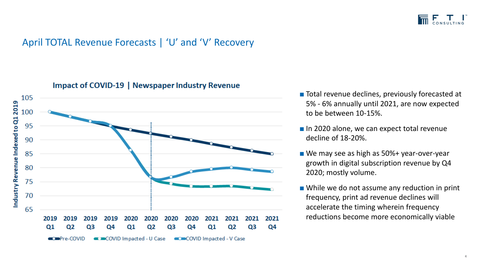

### April TOTAL Revenue Forecasts | 'U' and 'V' Recovery



### Impact of COVID-19 | Newspaper Industry Revenue

- Total revenue declines, previously forecasted at 5% - 6% annually until 2021, are now expected to be between 10-15%.
- In 2020 alone, we can expect total revenue decline of 18-20%.
- We may see as high as 50%+ year-over-year growth in digital subscription revenue by Q4 2020; mostly volume.
- While we do not assume any reduction in print frequency, print ad revenue declines will accelerate the timing wherein frequency reductions become more economically viable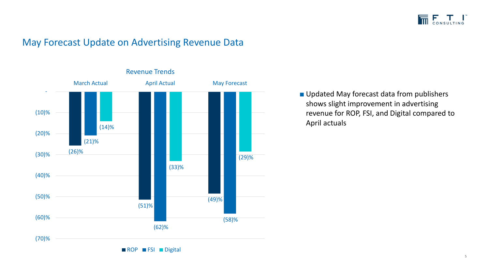

### May Forecast Update on Advertising Revenue Data



■ Updated May forecast data from publishers shows slight improvement in advertising revenue for ROP, FSI, and Digital compared to April actuals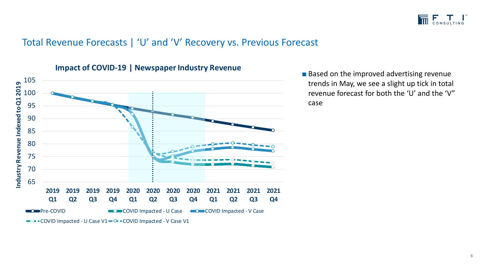

### Total Revenue Forecasts | 'U' and 'V' Recovery vs. Previous Forecast



### **Impact of COVID-19 | Newspaper Industry Revenue**

■ Based on the improved advertising revenue trends in May, we see a slight up tick in total revenue forecast for both the 'U' and the 'V" case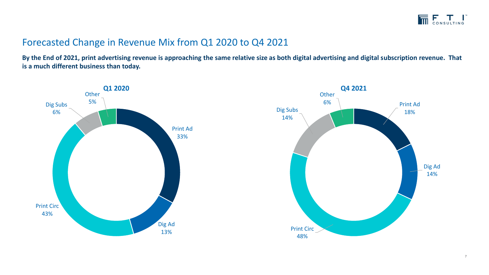## Forecasted Change in Revenue Mix from Q1 2020 to Q4 2021

**By the End of 2021, print advertising revenue is approaching the same relative size as both digital advertising and digital subscription revenue. That is a much different business than today.**



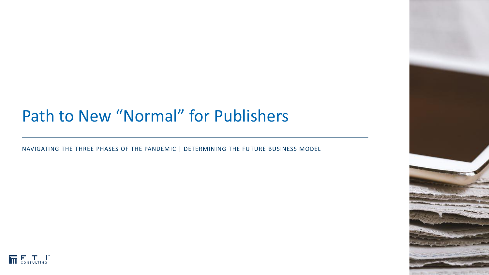# Path to New "Normal" for Publishers

NAVIGATING THE THREE PHASES OF THE PANDEMIC | DETERMINING THE FUTURE BUSINESS MODEL



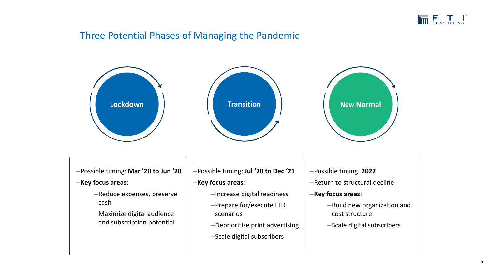

### Three Potential Phases of Managing the Pandemic

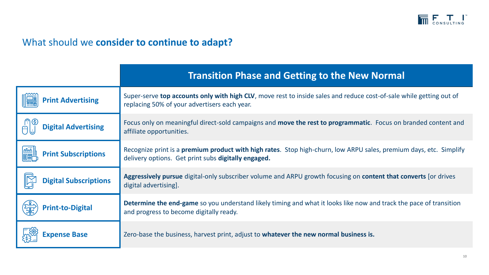

## What should we **consider to continue to adapt?**

|                                            | <b>Transition Phase and Getting to the New Normal</b>                                                                                                                             |
|--------------------------------------------|-----------------------------------------------------------------------------------------------------------------------------------------------------------------------------------|
| <b>Print Advertising</b>                   | Super-serve top accounts only with high CLV, move rest to inside sales and reduce cost-of-sale while getting out of<br>replacing 50% of your advertisers each year.               |
| <b>Digital Advertising</b>                 | Focus only on meaningful direct-sold campaigns and <b>move the rest to programmatic</b> . Focus on branded content and<br>affiliate opportunities.                                |
| <b>ENDER</b><br><b>Print Subscriptions</b> | Recognize print is a <b>premium product with high rates</b> . Stop high-churn, low ARPU sales, premium days, etc. Simplify<br>delivery options. Get print subs digitally engaged. |
| <b>Digital Subscriptions</b>               | Aggressively pursue digital-only subscriber volume and ARPU growth focusing on content that converts [or drives<br>digital advertising].                                          |
| <b>Print-to-Digital</b>                    | <b>Determine the end-game</b> so you understand likely timing and what it looks like now and track the pace of transition<br>and progress to become digitally ready.              |
| <b>Expense Base</b>                        | Zero-base the business, harvest print, adjust to whatever the new normal business is.                                                                                             |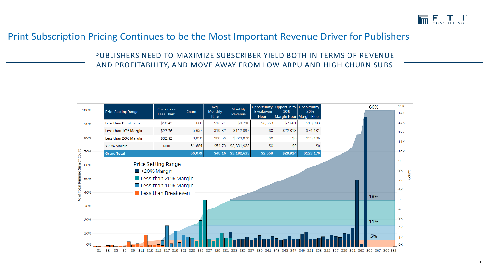

### Print Subscription Pricing Continues to be the Most Important Revenue Driver for Publishers

PUBLISHERS NEED TO MAXIMIZE SUBSCRIBER YIELD BOTH IN TERMS OF REVENUE AND PROFITABILITY, AND MOVE AWAY FROM LOW ARPU AND HIGH CHURN SUBS

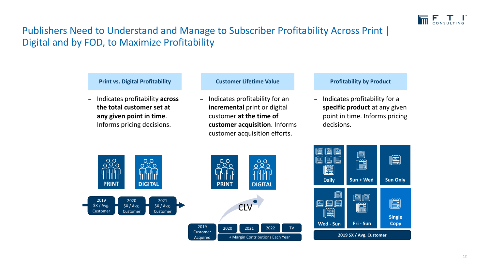

## Publishers Need to Understand and Manage to Subscriber Profitability Across Print | Digital and by FOD, to Maximize Profitability

### **Print vs. Digital Profitability <b>Customer Lifetime Value Profitability by Product**

‒ Indicates profitability **across the total customer set at any given point in time**. Informs pricing decisions.

‒ Indicates profitability for an **incremental** print or digital customer **at the time of customer acquisition**. Informs customer acquisition efforts.

‒ Indicates profitability for a **specific product** at any given point in time. Informs pricing decisions.



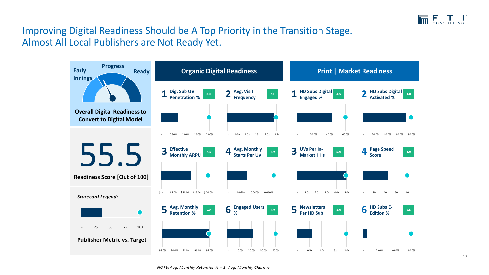

## Improving Digital Readiness Should be A Top Priority in the Transition Stage. Almost All Local Publishers are Not Ready Yet.

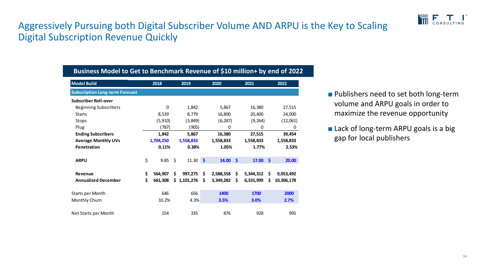

## Aggressively Pursuing both Digital Subscriber Volume AND ARPU is the Key to Scaling Digital Subscription Revenue Quickly

| Business Model to Get to Benchmark Revenue of \$10 million+ by end of 2022 |    |           |    |           |    |           |                    |           |                    |            |
|----------------------------------------------------------------------------|----|-----------|----|-----------|----|-----------|--------------------|-----------|--------------------|------------|
| <b>Model Build</b>                                                         |    | 2018      |    | 2019      |    | 2020      |                    | 2021      |                    | 2022       |
| <b>Subscription Long-term Forecast</b>                                     |    |           |    |           |    |           |                    |           |                    |            |
| <b>Subscriber Roll-over</b>                                                |    |           |    |           |    |           |                    |           |                    |            |
| <b>Beginning Subscribers</b>                                               |    | 0         |    | 1,842     |    | 5,867     |                    | 16,380    |                    | 27,515     |
| <b>Starts</b>                                                              |    | 8,539     |    | 8,779     |    | 16,800    |                    | 20,400    |                    | 24,000     |
| Stops                                                                      |    | (5, 910)  |    | (3,849)   |    | (6, 287)  |                    | (9, 264)  |                    | (12,061)   |
| Plug                                                                       |    | (787)     |    | (905)     |    | 0         |                    | 0         |                    | 0          |
| <b>Ending Subscribers</b>                                                  |    | 1,842     |    | 5,867     |    | 16,380    |                    | 27,515    |                    | 39,454     |
| <b>Average Monthly UVs</b>                                                 |    | 1,704,250 |    | 1,558,833 |    | 1,558,833 |                    | 1,558,833 |                    | 1,558,833  |
| Penetration                                                                |    | 0.11%     |    | 0.38%     |    | 1.05%     |                    | 1.77%     |                    | 2.53%      |
| <b>ARPU</b>                                                                | \$ | 9.85      | \$ | 11.30 \$  |    | 14.00     | $\dot{\mathsf{s}}$ | 17.00     | $\mathsf{\hat{S}}$ | 20.00      |
| Revenue                                                                    | \$ | 564,907   | \$ | 997,275   | \$ | 2,588,558 | \$                 | 5,344,312 | \$                 | 9,053,492  |
| <b>Annualized December</b>                                                 | \$ | 661,308   | \$ | 1,101,276 | Ŝ. | 3,349,282 | \$                 | 6,331,999 | \$.                | 10,306,178 |
| <b>Starts per Month</b>                                                    |    | 646       |    | 656       |    | 1400      |                    | 1700      |                    | 2000       |
| Monthly Churn                                                              |    | 10.2%     |    | 4.3%      |    | 3.5%      |                    | 3.0%      |                    | 2.7%       |
| Net Starts per Month                                                       |    | 154       |    | 335       |    | 876       |                    | 928       |                    | 995        |

- Publishers need to set both long-term volume and ARPU goals in order to maximize the revenue opportunity
- Lack of long-term ARPU goals is a big gap for local publishers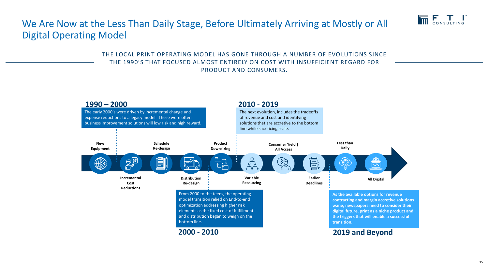

## We Are Now at the Less Than Daily Stage, Before Ultimately Arriving at Mostly or All Digital Operating Model

THE LOCAL PRINT OPERATING MODEL HAS GONE THROUGH A NUMBER OF EVOLUTIONS SINCE THE 1990'S THAT FOCUSED ALMOST ENTIRELY ON COST WITH INSUFFICIENT REGARD FOR PRODUCT AND CONSUMERS.

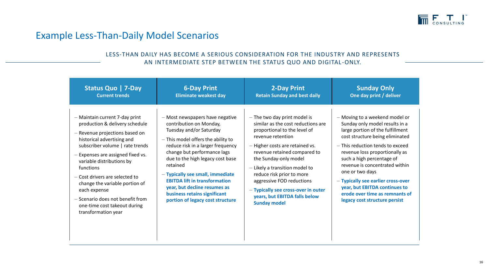

### Example Less-Than-Daily Model Scenarios

### LESS-THAN DAILY HAS BECOME A SERIOUS CONSIDERATION FOR THE INDUSTRY AND REPRESENTS AN INTERMEDIATE STEP BETWEEN THE STATUS QUO AND DIGITAL -ONLY.

| Status Quo   7-Day                                                                                                                                                                                                                                                                                                                                                                                                                | <b>6-Day Print</b>                                                                                                                                                                                                                                                                                                                                                                                                              | <b>2-Day Print</b>                                                                                                                                                                                                                                                                                                                                                                                                 | <b>Sunday Only</b>                                                                                                                                                                                                                                                                                                                                                                                                                        |
|-----------------------------------------------------------------------------------------------------------------------------------------------------------------------------------------------------------------------------------------------------------------------------------------------------------------------------------------------------------------------------------------------------------------------------------|---------------------------------------------------------------------------------------------------------------------------------------------------------------------------------------------------------------------------------------------------------------------------------------------------------------------------------------------------------------------------------------------------------------------------------|--------------------------------------------------------------------------------------------------------------------------------------------------------------------------------------------------------------------------------------------------------------------------------------------------------------------------------------------------------------------------------------------------------------------|-------------------------------------------------------------------------------------------------------------------------------------------------------------------------------------------------------------------------------------------------------------------------------------------------------------------------------------------------------------------------------------------------------------------------------------------|
| <b>Current trends</b>                                                                                                                                                                                                                                                                                                                                                                                                             | <b>Eliminate weakest day</b>                                                                                                                                                                                                                                                                                                                                                                                                    | <b>Retain Sunday and best daily</b>                                                                                                                                                                                                                                                                                                                                                                                | One day print / deliver                                                                                                                                                                                                                                                                                                                                                                                                                   |
| - Maintain current 7-day print<br>production & delivery schedule<br>- Revenue projections based on<br>historical advertising and<br>subscriber volume   rate trends<br>- Expenses are assigned fixed vs.<br>variable distributions by<br>functions<br>- Cost drivers are selected to<br>change the variable portion of<br>each expense<br>- Scenario does not benefit from<br>one-time cost takeout during<br>transformation year | - Most newspapers have negative<br>contribution on Monday,<br>Tuesday and/or Saturday<br>- This model offers the ability to<br>reduce risk in a larger frequency<br>change but performance lags<br>due to the high legacy cost base<br>retained<br>- Typically see small, immediate<br><b>EBITDA lift in transformation</b><br>year, but decline resumes as<br>business retains significant<br>portion of legacy cost structure | $-$ The two day print model is<br>similar as the cost reductions are<br>proportional to the level of<br>revenue retention<br>- Higher costs are retained vs.<br>revenue retained compared to<br>the Sunday-only model<br>$-$ Likely a transition model to<br>reduce risk prior to more<br>aggressive FOD reductions<br>- Typically see cross-over in outer<br>years, but EBITDA falls below<br><b>Sunday model</b> | - Moving to a weekend model or<br>Sunday only model results in a<br>large portion of the fulfillment<br>cost structure being eliminated<br>- This reduction tends to exceed<br>revenue loss proportionally as<br>such a high percentage of<br>revenue is concentrated within<br>one or two days<br>- Typically see earlier cross-over<br>year, but EBITDA continues to<br>erode over time as remnants of<br>legacy cost structure persist |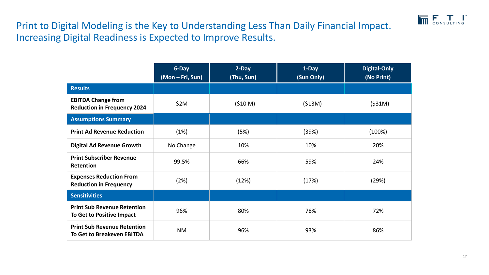

Print to Digital Modeling is the Key to Understanding Less Than Daily Financial Impact. Increasing Digital Readiness is Expected to Improve Results.

|                                                                         | $6$ -Day<br>(Mon - Fri, Sun) | $2$ -Day<br>(Thu, Sun) | 1-Day<br>(Sun Only) | <b>Digital-Only</b><br>(No Print) |
|-------------------------------------------------------------------------|------------------------------|------------------------|---------------------|-----------------------------------|
|                                                                         |                              |                        |                     |                                   |
| <b>Results</b>                                                          |                              |                        |                     |                                   |
| <b>EBITDA Change from</b><br><b>Reduction in Frequency 2024</b>         | \$2M                         | (510 M)                | (513M)              | $($ \$31M)                        |
| <b>Assumptions Summary</b>                                              |                              |                        |                     |                                   |
| <b>Print Ad Revenue Reduction</b>                                       | (1%)                         | (5%)                   | (39%)               | (100%)                            |
| <b>Digital Ad Revenue Growth</b>                                        | No Change                    | 10%                    | 10%                 | 20%                               |
| <b>Print Subscriber Revenue</b><br>Retention                            | 99.5%                        | 66%                    | 59%                 | 24%                               |
| <b>Expenses Reduction From</b><br><b>Reduction in Frequency</b>         | (2%)                         | (12%)                  | (17%)               | (29%)                             |
| <b>Sensitivities</b>                                                    |                              |                        |                     |                                   |
| <b>Print Sub Revenue Retention</b><br>To Get to Positive Impact         | 96%                          | 80%                    | 78%                 | 72%                               |
| <b>Print Sub Revenue Retention</b><br><b>To Get to Breakeven EBITDA</b> | <b>NM</b>                    | 96%                    | 93%                 | 86%                               |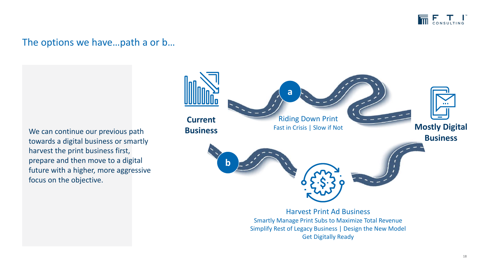

### The options we have…path a or b…

We can continue our previous path towards a digital business or smartly harvest the print business first, prepare and then move to a digital future with a higher, more aggressive focus on the objective.



Get Digitally Ready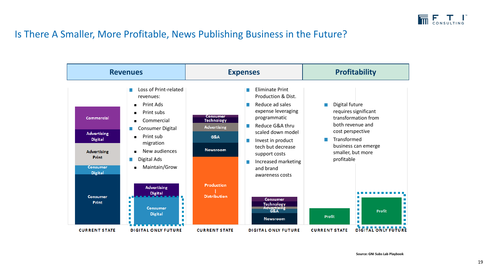

### Is There A Smaller, More Profitable, News Publishing Business in the Future?